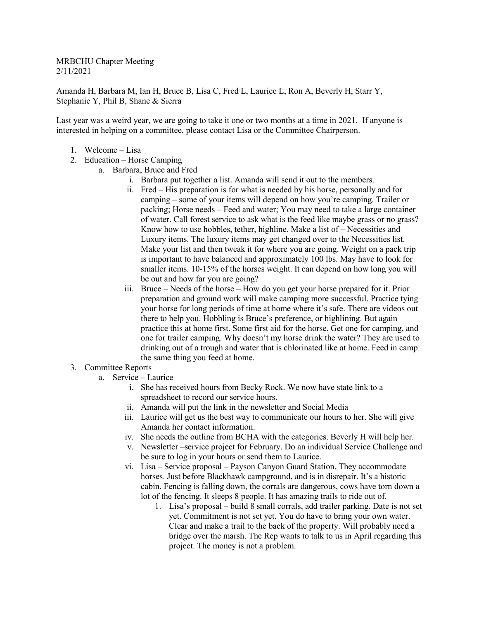MRBCHU Chapter Meeting 2/11/2021

Amanda H, Barbara M, Ian H, Bruce B, Lisa C, Fred L, Laurice L, Ron A, Beverly H, Starr Y, Stephanie Y, Phil B, Shane & Sierra

Last year was a weird year, we are going to take it one or two months at a time in 2021. If anyone is interested in helping on a committee, please contact Lisa or the Committee Chairperson.

- 1. Welcome Lisa
- 2. Education Horse Camping
	- a. Barbara, Bruce and Fred
		- i. Barbara put together a list. Amanda will send it out to the members.
		- ii. Fred His preparation is for what is needed by his horse, personally and for camping – some of your items will depend on how you're camping. Trailer or packing; Horse needs – Feed and water; You may need to take a large container of water. Call forest service to ask what is the feed like maybe grass or no grass? Know how to use hobbles, tether, highline. Make a list of – Necessities and Luxury items. The luxury items may get changed over to the Necessities list. Make your list and then tweak it for where you are going. Weight on a pack trip is important to have balanced and approximately 100 lbs. May have to look for smaller items. 10-15% of the horses weight. It can depend on how long you will be out and how far you are going?
		- iii. Bruce Needs of the horse How do you get your horse prepared for it. Prior preparation and ground work will make camping more successful. Practice tying your horse for long periods of time at home where it's safe. There are videos out there to help you. Hobbling is Bruce's preference, or highlining. But again practice this at home first. Some first aid for the horse. Get one for camping, and one for trailer camping. Why doesn't my horse drink the water? They are used to drinking out of a trough and water that is chlorinated like at home. Feed in camp the same thing you feed at home.
- 3. Committee Reports
	- a. Service Laurice
		- i. She has received hours from Becky Rock. We now have state link to a spreadsheet to record our service hours.
		- ii. Amanda will put the link in the newsletter and Social Media
		- iii. Laurice will get us the best way to communicate our hours to her. She will give Amanda her contact information.
		- iv. She needs the outline from BCHA with the categories. Beverly H will help her.
		- v. Newsletter –service project for February. Do an individual Service Challenge and be sure to log in your hours or send them to Laurice.
		- vi. Lisa Service proposal Payson Canyon Guard Station. They accommodate horses. Just before Blackhawk campground, and is in disrepair. It's a historic cabin. Fencing is falling down, the corrals are dangerous, cows have torn down a lot of the fencing. It sleeps 8 people. It has amazing trails to ride out of.
			- 1. Lisa's proposal build 8 small corrals, add trailer parking. Date is not set yet. Commitment is not set yet. You do have to bring your own water. Clear and make a trail to the back of the property. Will probably need a bridge over the marsh. The Rep wants to talk to us in April regarding this project. The money is not a problem.